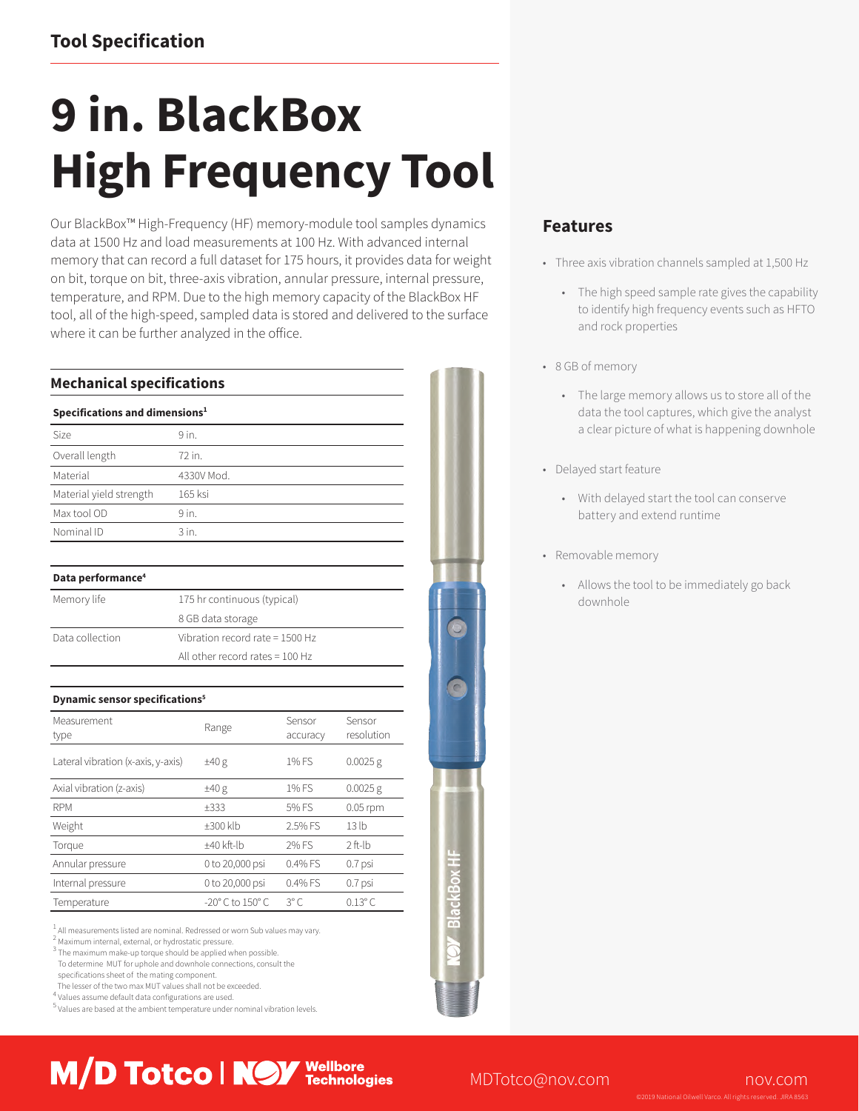# **Tool Specification**

# **9 in. BlackBox High Frequency Tool**

Our BlackBox™ High-Frequency (HF) memory-module tool samples dynamics data at 1500 Hz and load measurements at 100 Hz. With advanced internal memory that can record a full dataset for 175 hours, it provides data for weight on bit, torque on bit, three-axis vibration, annular pressure, internal pressure, temperature, and RPM. Due to the high memory capacity of the BlackBox HF tool, all of the high-speed, sampled data is stored and delivered to the surface where it can be further analyzed in the office.

| <b>Mechanical specifications</b>                 |                                   |                   |                    |                      |
|--------------------------------------------------|-----------------------------------|-------------------|--------------------|----------------------|
| Specifications and dimensions <sup>1</sup>       |                                   |                   |                    |                      |
| <b>Size</b>                                      | 9 in.                             |                   |                    |                      |
| Overall length                                   | 72 in.                            |                   |                    |                      |
| Material                                         |                                   | 4330V Mod.        |                    |                      |
| Material yield strength                          |                                   | 165 ksi           |                    |                      |
| Max tool OD                                      | 9 in.                             |                   |                    |                      |
| Nominal ID                                       | $3$ in.                           |                   |                    |                      |
| Data performance <sup>4</sup>                    |                                   |                   |                    |                      |
| Memory life                                      | 175 hr continuous (typical)       |                   |                    |                      |
|                                                  |                                   | 8 GB data storage |                    |                      |
| Data collection                                  | Vibration record rate = 1500 Hz   |                   |                    |                      |
|                                                  | All other record rates $= 100$ Hz |                   |                    |                      |
|                                                  |                                   |                   |                    |                      |
| <b>Dynamic sensor specifications<sup>5</sup></b> |                                   |                   |                    |                      |
| Measurement<br>type                              |                                   | Range             | Sensor<br>accuracy | Sensor<br>resolution |
| Lateral vibration (x-axis, y-axis)               |                                   | ±40 g             | 1% FS              | $0.0025$ g           |
| Axial vibration (z-axis)                         |                                   | ±40 g             | 1% FS              | $0.0025$ g           |
| <b>RPM</b>                                       |                                   | ±333              | 5% FS              | $0.05$ rpm           |
| Weight                                           |                                   | $±300$ klb        | 2.5% FS            | 13 <sub>h</sub>      |
| Torque                                           |                                   | ±40 kft-lb        | 2% FS              | $2$ ft-lb            |
| Annular pressure                                 |                                   | 0 to 20,000 psi   | 0.4% FS            | 0.7 psi              |
|                                                  |                                   |                   |                    |                      |
| Internal pressure                                |                                   | 0 to 20,000 psi   | 0.4% FS            | 0.7 psi              |

 $<sup>1</sup>$  All measurements listed are nominal. Redressed or worn Sub values may vary.</sup>

M/D Totco | NOV Wellbore

<sup>2</sup> Maximum internal, external, or hydrostatic pressure.

<sup>3</sup> The maximum make-up torque should be applied when possible.

To determine MUT for uphole and downhole connections, consult the

specifications sheet of the mating component.

The lesser of the two max MUT values shall not be exceeded.

<sup>4</sup> Values assume default data configurations are used. 5 Values are based at the ambient temperature under nominal vibration levels.

# **Features**

- Three axis vibration channels sampled at 1,500 Hz
	- The high speed sample rate gives the capability to identify high frequency events such as HFTO and rock properties
- 8 GB of memory
	- The large memory allows us to store all of the data the tool captures, which give the analyst a clear picture of what is happening downhole
- Delayed start feature
	- With delayed start the tool can conserve battery and extend runtime
- Removable memory
	- Allows the tool to be immediately go back downhole